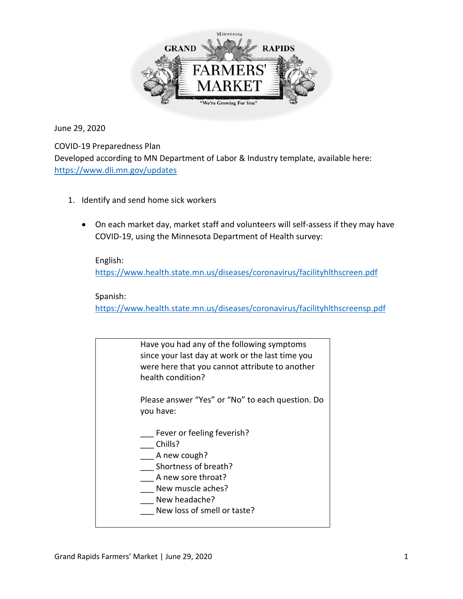

June 29, 2020

COVID-19 Preparedness Plan

Developed according to MN Department of Labor & Industry template, available here: <https://www.dli.mn.gov/updates>

- 1. Identify and send home sick workers
	- On each market day, market staff and volunteers will self-assess if they may have COVID-19, using the Minnesota Department of Health survey:

English: <https://www.health.state.mn.us/diseases/coronavirus/facilityhlthscreen.pdf>

Spanish: <https://www.health.state.mn.us/diseases/coronavirus/facilityhlthscreensp.pdf>

Have you had any of the following symptoms since your last day at work or the last time you were here that you cannot attribute to another health condition? Please answer "Yes" or "No" to each question. Do you have: Fever or feeling feverish? \_\_\_ Chills? A new cough? \_\_\_ Shortness of breath? A new sore throat? New muscle aches? New headache? New loss of smell or taste?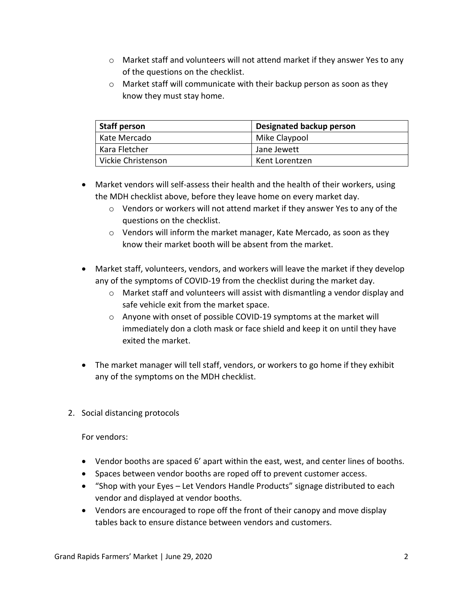- $\circ$  Market staff and volunteers will not attend market if they answer Yes to any of the questions on the checklist.
- o Market staff will communicate with their backup person as soon as they know they must stay home.

| <b>Staff person</b> | Designated backup person |
|---------------------|--------------------------|
| Kate Mercado        | Mike Claypool            |
| Kara Fletcher       | Jane Jewett              |
| Vickie Christenson  | Kent Lorentzen           |

- Market vendors will self-assess their health and the health of their workers, using the MDH checklist above, before they leave home on every market day.
	- $\circ$  Vendors or workers will not attend market if they answer Yes to any of the questions on the checklist.
	- o Vendors will inform the market manager, Kate Mercado, as soon as they know their market booth will be absent from the market.
- Market staff, volunteers, vendors, and workers will leave the market if they develop any of the symptoms of COVID-19 from the checklist during the market day.
	- $\circ$  Market staff and volunteers will assist with dismantling a vendor display and safe vehicle exit from the market space.
	- o Anyone with onset of possible COVID-19 symptoms at the market will immediately don a cloth mask or face shield and keep it on until they have exited the market.
- The market manager will tell staff, vendors, or workers to go home if they exhibit any of the symptoms on the MDH checklist.
- 2. Social distancing protocols

For vendors:

- Vendor booths are spaced 6' apart within the east, west, and center lines of booths.
- Spaces between vendor booths are roped off to prevent customer access.
- "Shop with your Eyes Let Vendors Handle Products" signage distributed to each vendor and displayed at vendor booths.
- Vendors are encouraged to rope off the front of their canopy and move display tables back to ensure distance between vendors and customers.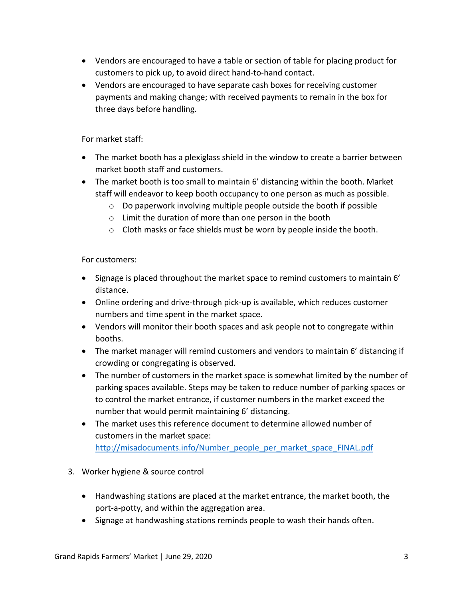- Vendors are encouraged to have a table or section of table for placing product for customers to pick up, to avoid direct hand-to-hand contact.
- Vendors are encouraged to have separate cash boxes for receiving customer payments and making change; with received payments to remain in the box for three days before handling.

For market staff:

- The market booth has a plexiglass shield in the window to create a barrier between market booth staff and customers.
- The market booth is too small to maintain 6' distancing within the booth. Market staff will endeavor to keep booth occupancy to one person as much as possible.
	- o Do paperwork involving multiple people outside the booth if possible
	- o Limit the duration of more than one person in the booth
	- $\circ$  Cloth masks or face shields must be worn by people inside the booth.

For customers:

- Signage is placed throughout the market space to remind customers to maintain 6' distance.
- Online ordering and drive-through pick-up is available, which reduces customer numbers and time spent in the market space.
- Vendors will monitor their booth spaces and ask people not to congregate within booths.
- The market manager will remind customers and vendors to maintain 6' distancing if crowding or congregating is observed.
- The number of customers in the market space is somewhat limited by the number of parking spaces available. Steps may be taken to reduce number of parking spaces or to control the market entrance, if customer numbers in the market exceed the number that would permit maintaining 6' distancing.
- The market uses this reference document to determine allowed number of customers in the market space: [http://misadocuments.info/Number\\_people\\_per\\_market\\_space\\_FINAL.pdf](http://misadocuments.info/Number_people_per_market_space_FINAL.pdf)
- 3. Worker hygiene & source control
	- Handwashing stations are placed at the market entrance, the market booth, the port-a-potty, and within the aggregation area.
	- Signage at handwashing stations reminds people to wash their hands often.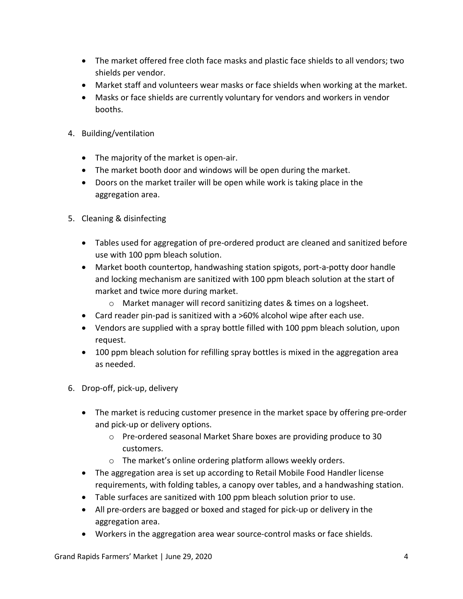- The market offered free cloth face masks and plastic face shields to all vendors; two shields per vendor.
- Market staff and volunteers wear masks or face shields when working at the market.
- Masks or face shields are currently voluntary for vendors and workers in vendor booths.
- 4. Building/ventilation
	- The majority of the market is open-air.
	- The market booth door and windows will be open during the market.
	- Doors on the market trailer will be open while work is taking place in the aggregation area.
- 5. Cleaning & disinfecting
	- Tables used for aggregation of pre-ordered product are cleaned and sanitized before use with 100 ppm bleach solution.
	- Market booth countertop, handwashing station spigots, port-a-potty door handle and locking mechanism are sanitized with 100 ppm bleach solution at the start of market and twice more during market.
		- o Market manager will record sanitizing dates & times on a logsheet.
	- Card reader pin-pad is sanitized with a >60% alcohol wipe after each use.
	- Vendors are supplied with a spray bottle filled with 100 ppm bleach solution, upon request.
	- 100 ppm bleach solution for refilling spray bottles is mixed in the aggregation area as needed.
- 6. Drop-off, pick-up, delivery
	- The market is reducing customer presence in the market space by offering pre-order and pick-up or delivery options.
		- o Pre-ordered seasonal Market Share boxes are providing produce to 30 customers.
		- o The market's online ordering platform allows weekly orders.
	- The aggregation area is set up according to Retail Mobile Food Handler license requirements, with folding tables, a canopy over tables, and a handwashing station.
	- Table surfaces are sanitized with 100 ppm bleach solution prior to use.
	- All pre-orders are bagged or boxed and staged for pick-up or delivery in the aggregation area.
	- Workers in the aggregation area wear source-control masks or face shields.